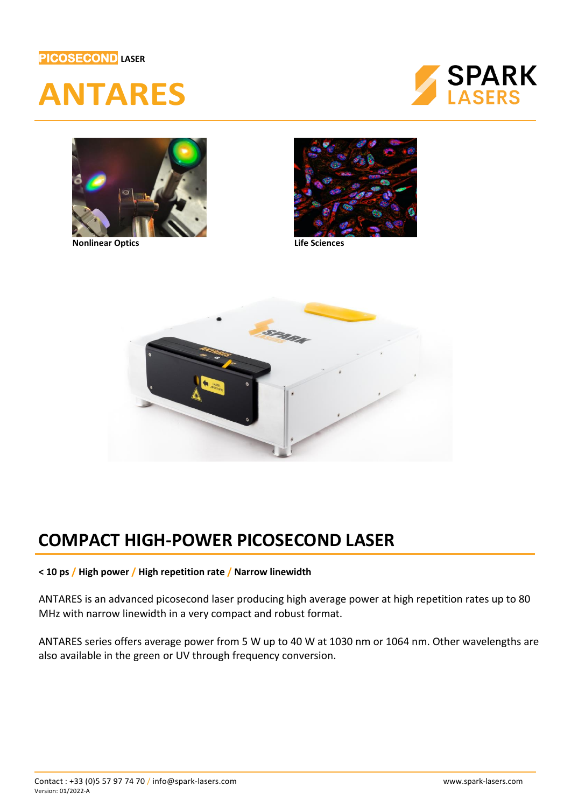## **PICOSECOND LASER**







**Nonlinear Optics Life Sciences**





## **COMPACT HIGH-POWER PICOSECOND LASER**

## **< 10 ps / High power / High repetition rate / Narrow linewidth**

ANTARES is an advanced picosecond laser producing high average power at high repetition rates up to 80 MHz with narrow linewidth in a very compact and robust format.

ANTARES series offers average power from 5 W up to 40 W at 1030 nm or 1064 nm. Other wavelengths are also available in the green or UV through frequency conversion.